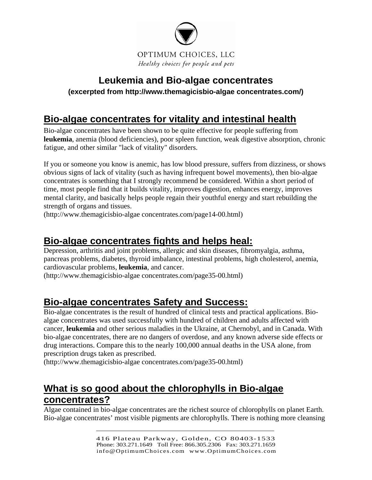

# **Leukemia and Bio-algae concentrates**

#### **(excerpted from http://www.themagicisbio-algae concentrates.com/)**

## **Bio-algae concentrates for vitality and intestinal health**

Bio-algae concentrates have been shown to be quite effective for people suffering from **leukemia**, anemia (blood deficiencies), poor spleen function, weak digestive absorption, chronic fatigue, and other similar "lack of vitality" disorders.

If you or someone you know is anemic, has low blood pressure, suffers from dizziness, or shows obvious signs of lack of vitality (such as having infrequent bowel movements), then bio-algae concentrates is something that I strongly recommend be considered. Within a short period of time, most people find that it builds vitality, improves digestion, enhances energy, improves mental clarity, and basically helps people regain their youthful energy and start rebuilding the strength of organs and tissues.

(http://www.themagicisbio-algae concentrates.com/page14-00.html)

### **[Bio-algae concentrates fights and helps heal:](http://www.themagicisbac.com/page35-00.html#menu#menu)**

Depression, arthritis and joint problems, allergic and skin diseases, fibromyalgia, asthma, pancreas problems, diabetes, thyroid imbalance, intestinal problems, high cholesterol, anemia, cardiovascular problems, **leukemia**, and cancer.

(http://www.themagicisbio-algae concentrates.com/page35-00.html)

### **[Bio-algae concentrates Safety and Success:](http://www.themagicisbac.com/page35-00.html#menu#menu)**

Bio-algae concentrates is the result of hundred of clinical tests and practical applications. Bioalgae concentrates was used successfully with hundred of children and adults affected with cancer, **leukemia** and other serious maladies in the Ukraine, at Chernobyl, and in Canada. With bio-algae concentrates, there are no dangers of overdose, and any known adverse side effects or drug interactions. Compare this to the nearly 100,000 annual deaths in the USA alone, from prescription drugs taken as prescribed.

(http://www.themagicisbio-algae concentrates.com/page35-00.html)

# **What is so good about the chlorophylls in Bio-algae concentrates?**

Algae contained in bio-algae concentrates are the richest source of chlorophylls on planet Earth. Bio-algae concentrates' most visible pigments are chlorophylls. There is nothing more cleansing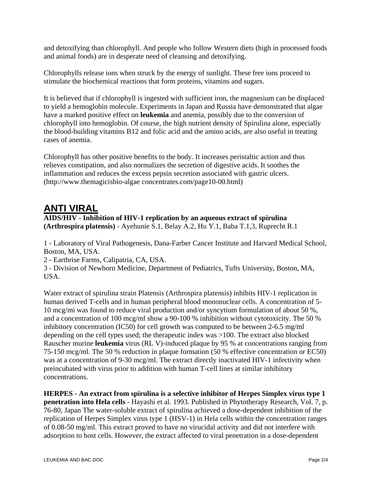and detoxifying than chlorophyll. And people who follow Western diets (high in processed foods and animal foods) are in desperate need of cleansing and detoxifying.

Chlorophylls release ions when struck by the energy of sunlight. These free ions proceed to stimulate the biochemical reactions that form proteins, vitamins and sugars.

It is believed that if chlorophyll is ingested with sufficient iron, the magnesium can be displaced to yield a hemoglobin molecule. Experiments in Japan and Russia have demonstrated that algae have a marked positive effect on **leukemia** and anemia, possibly due to the conversion of chlorophyll into hemoglobin. Of course, the high nutrient density of Spirulina alone, especially the blood-building vitamins B12 and folic acid and the amino acids, are also useful in treating cases of anemia.

Chlorophyll has other positive benefits to the body. It increases peristaltic action and thus relieves constipation, and also normalizes the secretion of digestive acids. It soothes the inflammation and reduces the excess pepsin secretion associated with gastric ulcers. (http://www.themagicisbio-algae concentrates.com/page10-00.html)

#### **ANTI VIRAL**

#### **AIDS/HIV - Inhibition of HIV-1 replication by an aqueous extract of spirulina (Arthrospira platensis)** - Ayehunie S.1, Belay A.2, Hu Y.1, Baba T.1,3, Ruprecht R.1

1 - Laboratory of Viral Pathogenesis, Dana-Farber Cancer Institute and Harvard Medical School, Boston, MA, USA.

2 - Earthrise Farms, Calipatria, CA, USA.

3 - Division of Newborn Medicine, Department of Pediatrics, Tufts University, Boston, MA, USA.

Water extract of spirulina strain Platensis (Arthrospira platensis) inhibits HIV-1 replication in human derived T-cells and in human peripheral blood mononuclear cells. A concentration of 5- 10 mcg/mi was found to reduce viral production and/or syncytium formulation of about 50 %, and a concentration of 100 mcg/ml show a 90-100 % inhibition without cytotoxicity. The 50 % inhibitory concentration (IC50) for cell growth was computed to be between 2-6.5 mg/ml depending on the cell types used; the therapeutic index was >100. The extract also blocked Rauscher murine **leukemia** virus (RL V)-induced plaque by 95 % at concentrations ranging from 75-150 mcg/ml. The 50 % reduction in plaque formation (50 % effective concentration or EC50) was at a concentration of 9-30 mcg/ml. The extract directly inactivated HIV-1 infectivity when preincubated with virus prior to addition with human T-cell lines at similar inhibitory concentrations.

**HERPES - An extract from spirulina is a selective inhibitor of Herpes Simplex virus type 1 penetration into Hela cells** - Hayashi et al. 1993. Published in Phytotherapy Research, Vol. 7, p. 76-80, Japan The water-soluble extract of spirulina achieved a dose-dependent inhibition of the replication of Herpes Simplex virus type 1 (HSV-1) in Hela cells within the concentration ranges of 0.08-50 mg/ml. This extract proved to have no virucidal activity and did not interfere with adsorption to host cells. However, the extract affected to viral penetration in a dose-dependent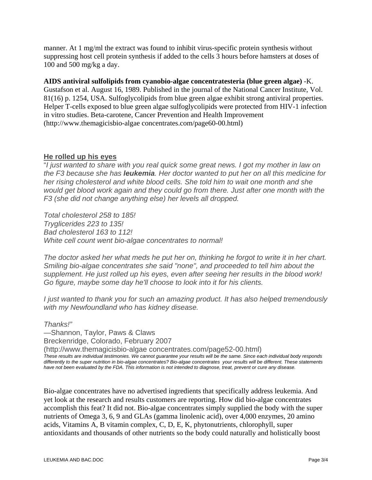manner. At 1 mg/ml the extract was found to inhibit virus-specific protein synthesis without suppressing host cell protein synthesis if added to the cells 3 hours before hamsters at doses of 100 and 500 mg/kg a day.

**AIDS antiviral sulfolipids from cyanobio-algae concentratesteria (blue green algae)** -K. Gustafson et al. August 16, 1989. Published in the journal of the National Cancer Institute, Vol. 81(16) p. 1254, USA. Sulfoglycolipids from blue green algae exhibit strong antiviral properties. Helper T-cells exposed to blue green algae sulfoglycolipids were protected from HIV-1 infection in vitro studies. Beta-carotene, Cancer Prevention and Health Improvement (http://www.themagicisbio-algae concentrates.com/page60-00.html)

#### **He rolled up his eyes**

"*I just wanted to share with you real quick some great news. I got my mother in law on the F3 because she has leukemia. Her doctor wanted to put her on all this medicine for her rising cholesterol and white blood cells. She told him to wait one month and she would get blood work again and they could go from there. Just after one month with the F3 (she did not change anything else) her levels all dropped.* 

*Total cholesterol 258 to 185! Tryglicerides 223 to 135! Bad cholesterol 163 to 112! White cell count went bio-algae concentrates to normal!* 

*The doctor asked her what meds he put her on, thinking he forgot to write it in her chart. Smiling bio-algae concentrates she said "none", and proceeded to tell him about the supplement. He just rolled up his eyes, even after seeing her results in the blood work! Go figure, maybe some day he'll choose to look into it for his clients.* 

*I just wanted to thank you for such an amazing product. It has also helped tremendously with my Newfoundland who has kidney disease.* 

*Thanks!"*

—Shannon, Taylor, Paws & Claws Breckenridge, Colorado, February 2007

(http://www.themagicisbio-algae concentrates.com/page52-00.html) *These results are individual testimonies. We cannot guarantee your results will be the same. Since each individual body responds differently to the super nutrition in bio-algae concentrates? Bio-algae concentrates your results will be different. These statements have not been evaluated by the FDA. This information is not intended to diagnose, treat, prevent or cure any disease.*

Bio-algae concentrates have no advertised ingredients that specifically address leukemia. And yet look at the research and results customers are reporting. How did bio-algae concentrates accomplish this feat? It did not. Bio-algae concentrates simply supplied the body with the super nutrients of Omega 3, 6, 9 and GLAs (gamma linolenic acid), over 4,000 enzymes, 20 amino acids, Vitamins A, B vitamin complex, C, D, E, K, phytonutrients, chlorophyll, super antioxidants and thousands of other nutrients so the body could naturally and holistically boost